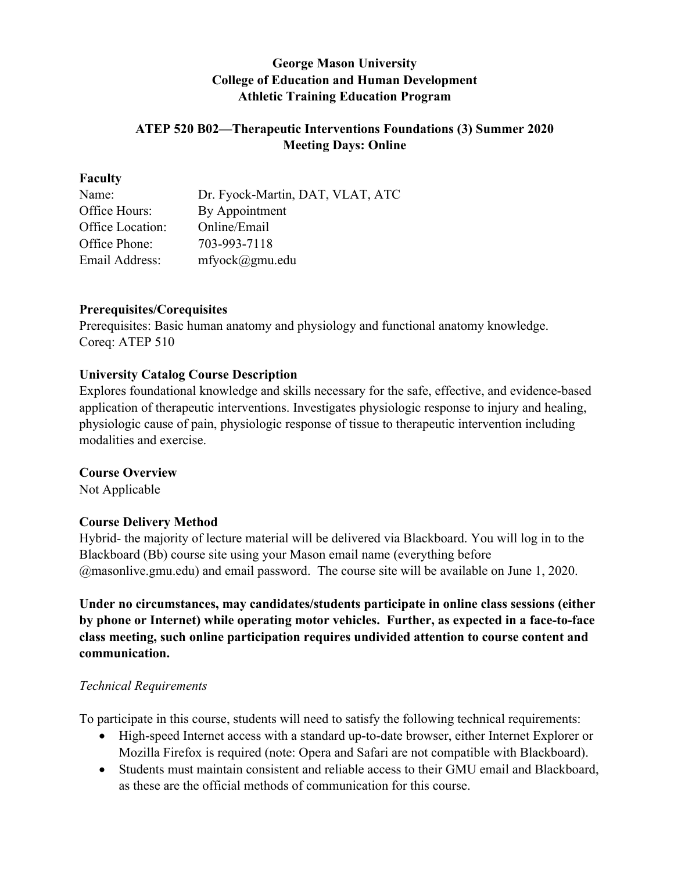## **George Mason University College of Education and Human Development Athletic Training Education Program**

## **ATEP 520 B02—Therapeutic Interventions Foundations (3) Summer 2020 Meeting Days: Online**

#### **Faculty**

| Name:            | Dr. Fyock-Martin, DAT, VLAT, ATC |
|------------------|----------------------------------|
| Office Hours:    | By Appointment                   |
| Office Location: | Online/Email                     |
| Office Phone:    | 703-993-7118                     |
| Email Address:   | $m$ fyock $(a)$ gmu.edu          |
|                  |                                  |

#### **Prerequisites/Corequisites**

Prerequisites: Basic human anatomy and physiology and functional anatomy knowledge. Coreq: ATEP 510

## **University Catalog Course Description**

Explores foundational knowledge and skills necessary for the safe, effective, and evidence-based application of therapeutic interventions. Investigates physiologic response to injury and healing, physiologic cause of pain, physiologic response of tissue to therapeutic intervention including modalities and exercise.

## **Course Overview**

Not Applicable

## **Course Delivery Method**

Hybrid- the majority of lecture material will be delivered via Blackboard. You will log in to the Blackboard (Bb) course site using your Mason email name (everything before @masonlive.gmu.edu) and email password. The course site will be available on June 1, 2020.

**Under no circumstances, may candidates/students participate in online class sessions (either by phone or Internet) while operating motor vehicles. Further, as expected in a face-to-face class meeting, such online participation requires undivided attention to course content and communication.**

## *Technical Requirements*

To participate in this course, students will need to satisfy the following technical requirements:

- High-speed Internet access with a standard up-to-date browser, either Internet Explorer or Mozilla Firefox is required (note: Opera and Safari are not compatible with Blackboard).
- Students must maintain consistent and reliable access to their GMU email and Blackboard, as these are the official methods of communication for this course.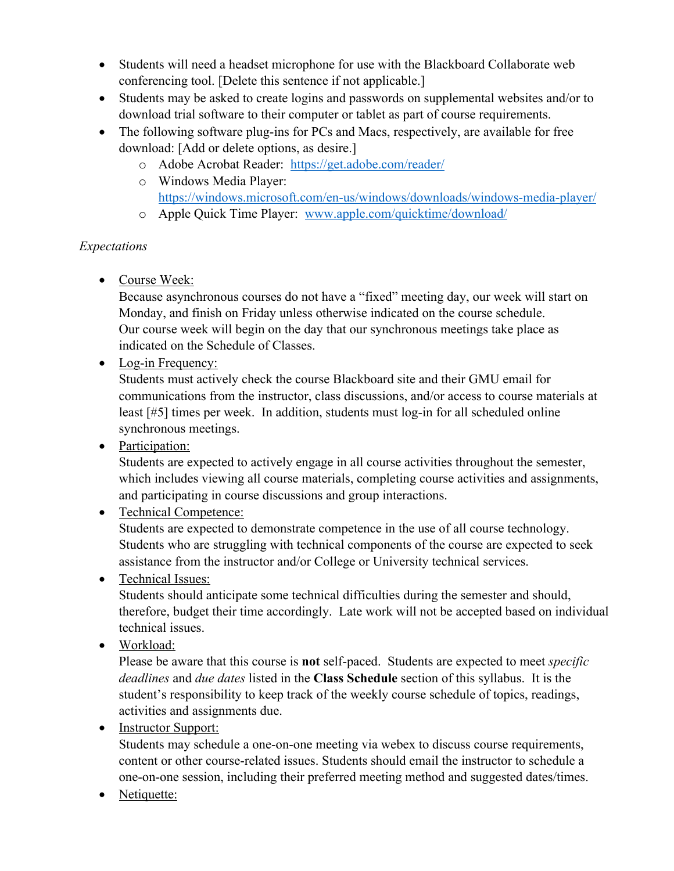- Students will need a headset microphone for use with the Blackboard Collaborate web conferencing tool. [Delete this sentence if not applicable.]
- Students may be asked to create logins and passwords on supplemental websites and/or to download trial software to their computer or tablet as part of course requirements.
- The following software plug-ins for PCs and Macs, respectively, are available for free download: [Add or delete options, as desire.]
	- o Adobe Acrobat Reader: https://get.adobe.com/reader/
	- o Windows Media Player: https://windows.microsoft.com/en-us/windows/downloads/windows-media-player/
	- o Apple Quick Time Player: www.apple.com/quicktime/download/

# *Expectations*

• Course Week:

Because asynchronous courses do not have a "fixed" meeting day, our week will start on Monday, and finish on Friday unless otherwise indicated on the course schedule. Our course week will begin on the day that our synchronous meetings take place as indicated on the Schedule of Classes.

• Log-in Frequency:

Students must actively check the course Blackboard site and their GMU email for communications from the instructor, class discussions, and/or access to course materials at least [#5] times per week. In addition, students must log-in for all scheduled online synchronous meetings.

• Participation:

Students are expected to actively engage in all course activities throughout the semester, which includes viewing all course materials, completing course activities and assignments, and participating in course discussions and group interactions.

• Technical Competence:

Students are expected to demonstrate competence in the use of all course technology. Students who are struggling with technical components of the course are expected to seek assistance from the instructor and/or College or University technical services.

• Technical Issues:

Students should anticipate some technical difficulties during the semester and should, therefore, budget their time accordingly. Late work will not be accepted based on individual technical issues.

• Workload:

Please be aware that this course is **not** self-paced. Students are expected to meet *specific deadlines* and *due dates* listed in the **Class Schedule** section of this syllabus. It is the student's responsibility to keep track of the weekly course schedule of topics, readings, activities and assignments due.

• Instructor Support:

Students may schedule a one-on-one meeting via webex to discuss course requirements, content or other course-related issues. Students should email the instructor to schedule a one-on-one session, including their preferred meeting method and suggested dates/times.

• Netiquette: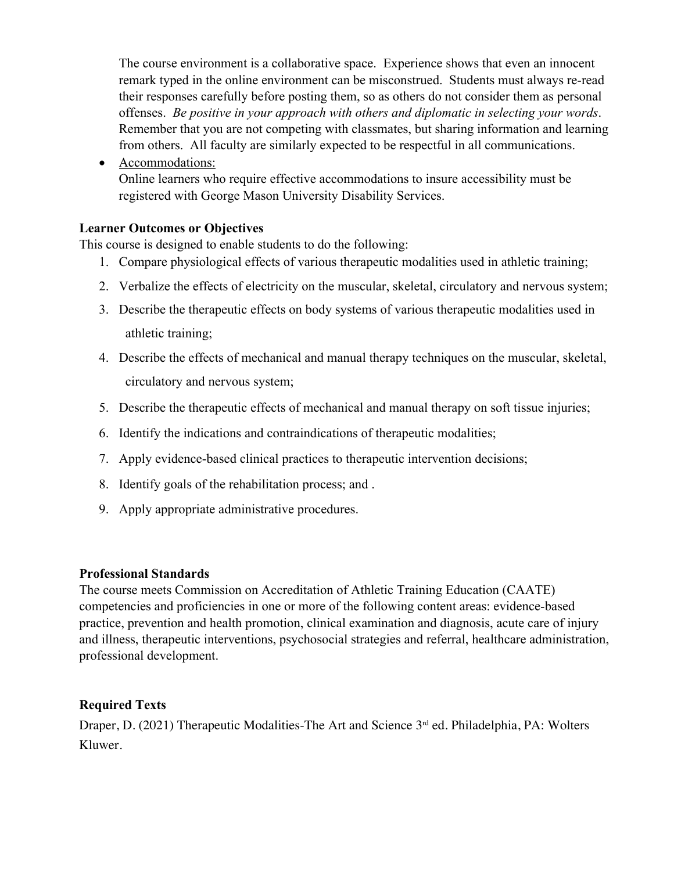The course environment is a collaborative space. Experience shows that even an innocent remark typed in the online environment can be misconstrued. Students must always re-read their responses carefully before posting them, so as others do not consider them as personal offenses. *Be positive in your approach with others and diplomatic in selecting your words*. Remember that you are not competing with classmates, but sharing information and learning from others. All faculty are similarly expected to be respectful in all communications.

• Accommodations:

Online learners who require effective accommodations to insure accessibility must be registered with George Mason University Disability Services.

## **Learner Outcomes or Objectives**

This course is designed to enable students to do the following:

- 1. Compare physiological effects of various therapeutic modalities used in athletic training;
- 2. Verbalize the effects of electricity on the muscular, skeletal, circulatory and nervous system;
- 3. Describe the therapeutic effects on body systems of various therapeutic modalities used in athletic training;
- 4. Describe the effects of mechanical and manual therapy techniques on the muscular, skeletal, circulatory and nervous system;
- 5. Describe the therapeutic effects of mechanical and manual therapy on soft tissue injuries;
- 6. Identify the indications and contraindications of therapeutic modalities;
- 7. Apply evidence-based clinical practices to therapeutic intervention decisions;
- 8. Identify goals of the rehabilitation process; and .
- 9. Apply appropriate administrative procedures.

## **Professional Standards**

The course meets Commission on Accreditation of Athletic Training Education (CAATE) competencies and proficiencies in one or more of the following content areas: evidence-based practice, prevention and health promotion, clinical examination and diagnosis, acute care of injury and illness, therapeutic interventions, psychosocial strategies and referral, healthcare administration, professional development.

## **Required Texts**

Draper, D. (2021) Therapeutic Modalities-The Art and Science 3<sup>rd</sup> ed. Philadelphia, PA: Wolters Kluwer.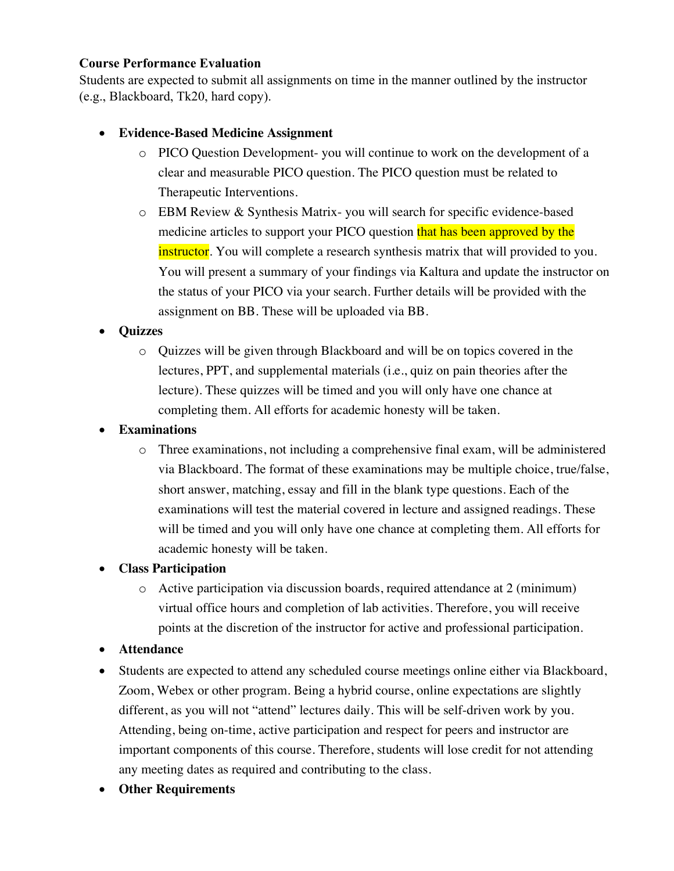## **Course Performance Evaluation**

Students are expected to submit all assignments on time in the manner outlined by the instructor (e.g., Blackboard, Tk20, hard copy).

## • **Evidence-Based Medicine Assignment**

- o PICO Question Development- you will continue to work on the development of a clear and measurable PICO question. The PICO question must be related to Therapeutic Interventions.
- o EBM Review & Synthesis Matrix- you will search for specific evidence-based medicine articles to support your PICO question that has been approved by the instructor. You will complete a research synthesis matrix that will provided to you. You will present a summary of your findings via Kaltura and update the instructor on the status of your PICO via your search. Further details will be provided with the assignment on BB. These will be uploaded via BB.

## • **Quizzes**

o Quizzes will be given through Blackboard and will be on topics covered in the lectures, PPT, and supplemental materials (i.e., quiz on pain theories after the lecture). These quizzes will be timed and you will only have one chance at completing them. All efforts for academic honesty will be taken.

## • **Examinations**

o Three examinations, not including a comprehensive final exam, will be administered via Blackboard. The format of these examinations may be multiple choice, true/false, short answer, matching, essay and fill in the blank type questions. Each of the examinations will test the material covered in lecture and assigned readings. These will be timed and you will only have one chance at completing them. All efforts for academic honesty will be taken.

## • **Class Participation**

 $\circ$  Active participation via discussion boards, required attendance at 2 (minimum) virtual office hours and completion of lab activities. Therefore, you will receive points at the discretion of the instructor for active and professional participation.

## • **Attendance**

- Students are expected to attend any scheduled course meetings online either via Blackboard, Zoom, Webex or other program. Being a hybrid course, online expectations are slightly different, as you will not "attend" lectures daily. This will be self-driven work by you. Attending, being on-time, active participation and respect for peers and instructor are important components of this course. Therefore, students will lose credit for not attending any meeting dates as required and contributing to the class.
- **Other Requirements**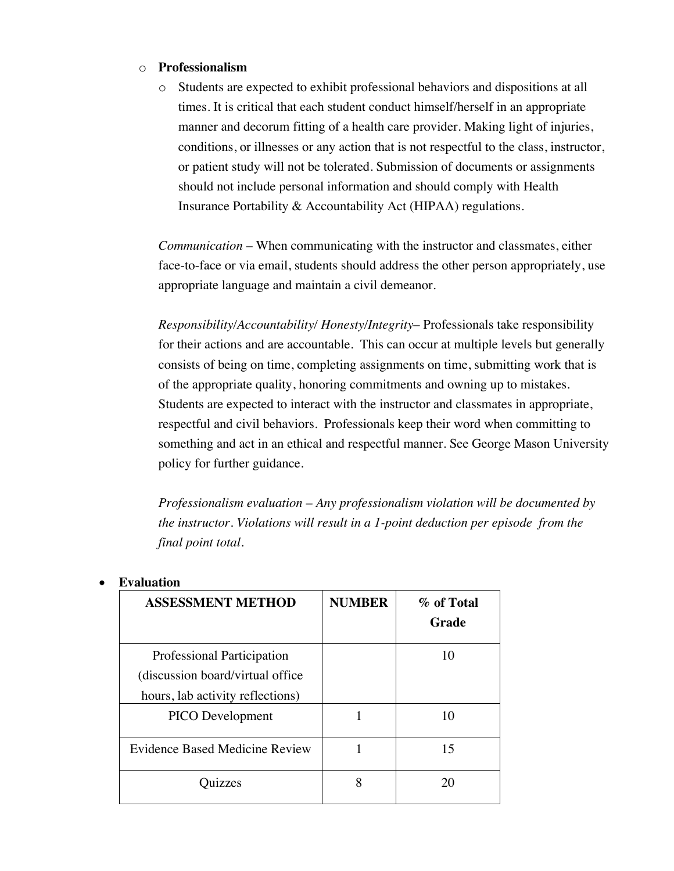#### o **Professionalism**

o Students are expected to exhibit professional behaviors and dispositions at all times. It is critical that each student conduct himself/herself in an appropriate manner and decorum fitting of a health care provider. Making light of injuries, conditions, or illnesses or any action that is not respectful to the class, instructor, or patient study will not be tolerated. Submission of documents or assignments should not include personal information and should comply with Health Insurance Portability & Accountability Act (HIPAA) regulations.

*Communication* – When communicating with the instructor and classmates, either face-to-face or via email, students should address the other person appropriately, use appropriate language and maintain a civil demeanor.

*Responsibility/Accountability/ Honesty/Integrity*– Professionals take responsibility for their actions and are accountable. This can occur at multiple levels but generally consists of being on time, completing assignments on time, submitting work that is of the appropriate quality, honoring commitments and owning up to mistakes. Students are expected to interact with the instructor and classmates in appropriate, respectful and civil behaviors. Professionals keep their word when committing to something and act in an ethical and respectful manner. See George Mason University policy for further guidance.

*Professionalism evaluation – Any professionalism violation will be documented by the instructor. Violations will result in a 1-point deduction per episode from the final point total.*

| <b>ASSESSMENT METHOD</b>          | <b>NUMBER</b> | % of Total |
|-----------------------------------|---------------|------------|
|                                   |               | Grade      |
| <b>Professional Participation</b> |               | 10         |
| (discussion board/virtual office) |               |            |
| hours, lab activity reflections)  |               |            |
| <b>PICO</b> Development           |               | 10         |
| Evidence Based Medicine Review    |               | 15         |
| zzes                              | 8             | 20         |

#### • **Evaluation**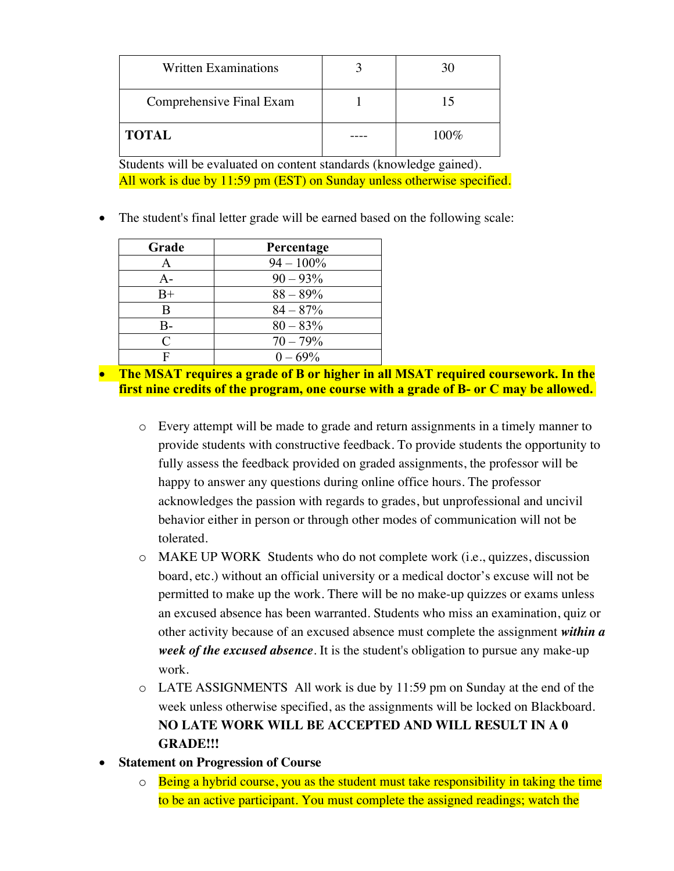| <b>Written Examinations</b> | 30   |
|-----------------------------|------|
| Comprehensive Final Exam    |      |
| <b>TOTAL</b>                | 100% |

Students will be evaluated on content standards (knowledge gained). All work is due by 11:59 pm (EST) on Sunday unless otherwise specified.

• The student's final letter grade will be earned based on the following scale:

| Grade     | Percentage   |
|-----------|--------------|
| A         | $94 - 100\%$ |
| $A -$     | $90 - 93\%$  |
| $B+$      | $88 - 89\%$  |
| B         | $84 - 87%$   |
| В-        | $80 - 83\%$  |
| $\subset$ | $70 - 79%$   |
| F         | $0 - 69\%$   |

• **The MSAT requires a grade of B or higher in all MSAT required coursework. In the first nine credits of the program, one course with a grade of B- or C may be allowed.**

- o Every attempt will be made to grade and return assignments in a timely manner to provide students with constructive feedback. To provide students the opportunity to fully assess the feedback provided on graded assignments, the professor will be happy to answer any questions during online office hours. The professor acknowledges the passion with regards to grades, but unprofessional and uncivil behavior either in person or through other modes of communication will not be tolerated.
- o MAKE UP WORK Students who do not complete work (i.e., quizzes, discussion board, etc.) without an official university or a medical doctor's excuse will not be permitted to make up the work. There will be no make-up quizzes or exams unless an excused absence has been warranted. Students who miss an examination, quiz or other activity because of an excused absence must complete the assignment *within a week of the excused absence*. It is the student's obligation to pursue any make-up work.
- o LATE ASSIGNMENTS All work is due by 11:59 pm on Sunday at the end of the week unless otherwise specified, as the assignments will be locked on Blackboard. **NO LATE WORK WILL BE ACCEPTED AND WILL RESULT IN A 0 GRADE!!!**
- **Statement on Progression of Course**
	- $\circ$  Being a hybrid course, you as the student must take responsibility in taking the time to be an active participant. You must complete the assigned readings; watch the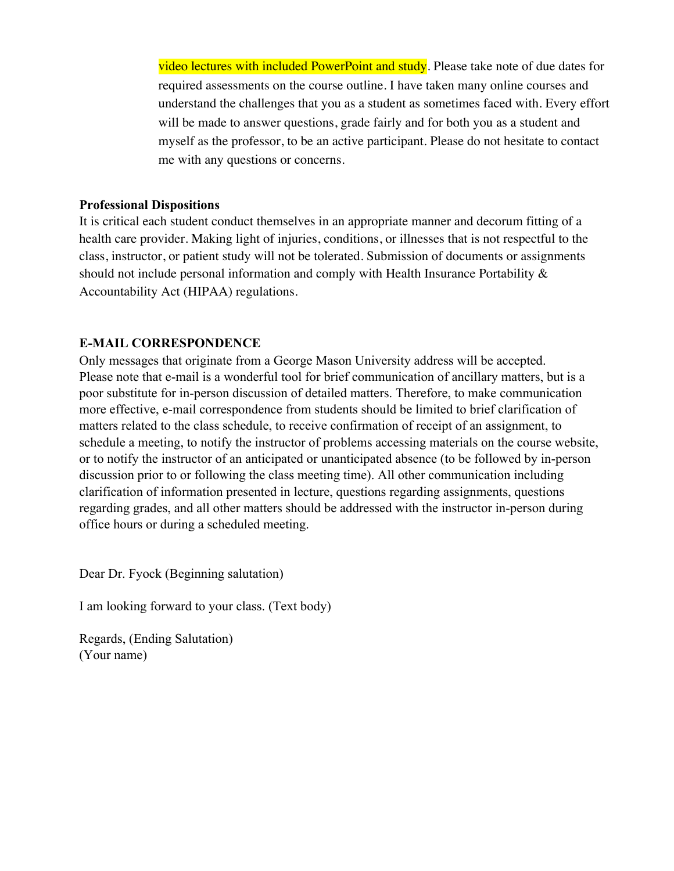video lectures with included PowerPoint and study. Please take note of due dates for required assessments on the course outline. I have taken many online courses and understand the challenges that you as a student as sometimes faced with. Every effort will be made to answer questions, grade fairly and for both you as a student and myself as the professor, to be an active participant. Please do not hesitate to contact me with any questions or concerns.

#### **Professional Dispositions**

It is critical each student conduct themselves in an appropriate manner and decorum fitting of a health care provider. Making light of injuries, conditions, or illnesses that is not respectful to the class, instructor, or patient study will not be tolerated. Submission of documents or assignments should not include personal information and comply with Health Insurance Portability & Accountability Act (HIPAA) regulations.

## **E-MAIL CORRESPONDENCE**

Only messages that originate from a George Mason University address will be accepted. Please note that e-mail is a wonderful tool for brief communication of ancillary matters, but is a poor substitute for in-person discussion of detailed matters. Therefore, to make communication more effective, e-mail correspondence from students should be limited to brief clarification of matters related to the class schedule, to receive confirmation of receipt of an assignment, to schedule a meeting, to notify the instructor of problems accessing materials on the course website, or to notify the instructor of an anticipated or unanticipated absence (to be followed by in-person discussion prior to or following the class meeting time). All other communication including clarification of information presented in lecture, questions regarding assignments, questions regarding grades, and all other matters should be addressed with the instructor in-person during office hours or during a scheduled meeting.

Dear Dr. Fyock (Beginning salutation)

I am looking forward to your class. (Text body)

Regards, (Ending Salutation) (Your name)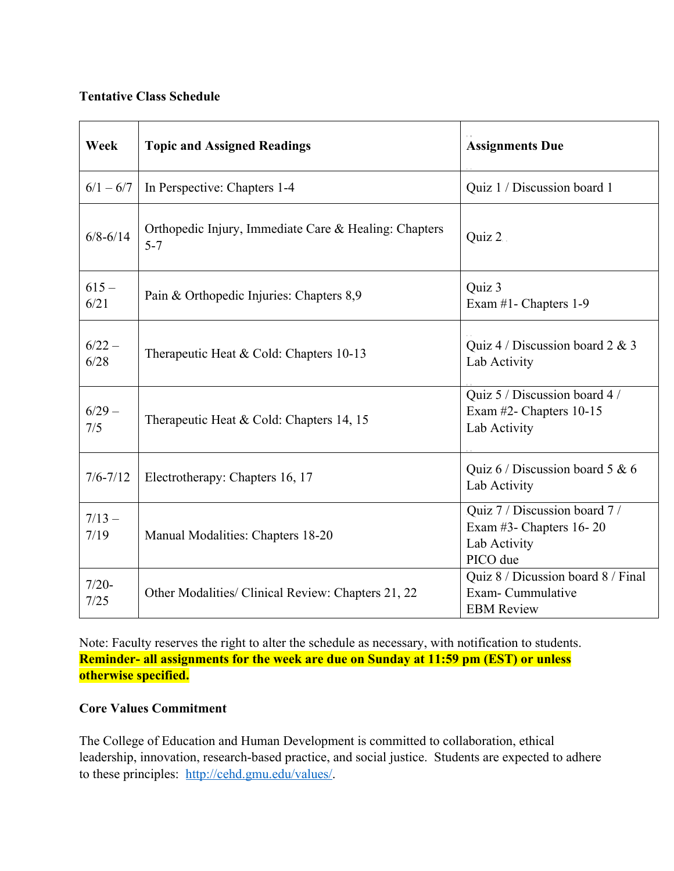#### **Tentative Class Schedule**

| Week             | <b>Topic and Assigned Readings</b>                               | <b>Assignments Due</b>                                                               |
|------------------|------------------------------------------------------------------|--------------------------------------------------------------------------------------|
| $6/1 - 6/7$      | In Perspective: Chapters 1-4                                     | Quiz 1 / Discussion board 1                                                          |
| $6/8 - 6/14$     | Orthopedic Injury, Immediate Care & Healing: Chapters<br>$5 - 7$ | Quiz 2.                                                                              |
| $615 -$<br>6/21  | Pain & Orthopedic Injuries: Chapters 8,9                         | Quiz 3<br>Exam #1- Chapters 1-9                                                      |
| $6/22 -$<br>6/28 | Therapeutic Heat & Cold: Chapters 10-13                          | Quiz 4 / Discussion board 2 & 3<br>Lab Activity                                      |
| $6/29 -$<br>7/5  | Therapeutic Heat & Cold: Chapters 14, 15                         | Quiz 5 / Discussion board 4 /<br>Exam #2- Chapters 10-15<br>Lab Activity             |
| $7/6 - 7/12$     | Electrotherapy: Chapters 16, 17                                  | Quiz 6 / Discussion board 5 & 6<br>Lab Activity                                      |
| $7/13 -$<br>7/19 | Manual Modalities: Chapters 18-20                                | Quiz 7 / Discussion board 7 /<br>Exam #3- Chapters 16-20<br>Lab Activity<br>PICO due |
| $7/20-$<br>7/25  | Other Modalities/ Clinical Review: Chapters 21, 22               | Quiz 8 / Dicussion board 8 / Final<br>Exam-Cummulative<br><b>EBM</b> Review          |

Note: Faculty reserves the right to alter the schedule as necessary, with notification to students. **Reminder- all assignments for the week are due on Sunday at 11:59 pm (EST) or unless otherwise specified.**

## **Core Values Commitment**

The College of Education and Human Development is committed to collaboration, ethical leadership, innovation, research-based practice, and social justice. Students are expected to adhere to these principles: http://cehd.gmu.edu/values/.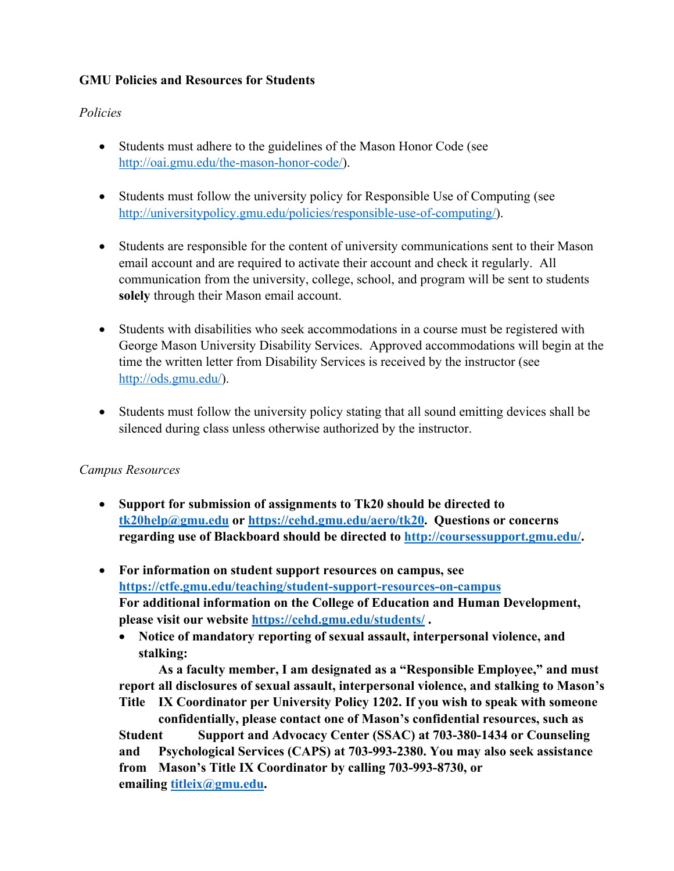## **GMU Policies and Resources for Students**

## *Policies*

- Students must adhere to the guidelines of the Mason Honor Code (see http://oai.gmu.edu/the-mason-honor-code/).
- Students must follow the university policy for Responsible Use of Computing (see http://universitypolicy.gmu.edu/policies/responsible-use-of-computing/).
- Students are responsible for the content of university communications sent to their Mason email account and are required to activate their account and check it regularly. All communication from the university, college, school, and program will be sent to students **solely** through their Mason email account.
- Students with disabilities who seek accommodations in a course must be registered with George Mason University Disability Services. Approved accommodations will begin at the time the written letter from Disability Services is received by the instructor (see http://ods.gmu.edu/).
- Students must follow the university policy stating that all sound emitting devices shall be silenced during class unless otherwise authorized by the instructor.

## *Campus Resources*

- **Support for submission of assignments to Tk20 should be directed to tk20help@gmu.edu or https://cehd.gmu.edu/aero/tk20. Questions or concerns regarding use of Blackboard should be directed to http://coursessupport.gmu.edu/.**
- **For information on student support resources on campus, see https://ctfe.gmu.edu/teaching/student-support-resources-on-campus For additional information on the College of Education and Human Development, please visit our website https://cehd.gmu.edu/students/ .**
	- **Notice of mandatory reporting of sexual assault, interpersonal violence, and stalking:**

**As a faculty member, I am designated as a "Responsible Employee," and must report all disclosures of sexual assault, interpersonal violence, and stalking to Mason's Title IX Coordinator per University Policy 1202. If you wish to speak with someone** 

**confidentially, please contact one of Mason's confidential resources, such as Student Support and Advocacy Center (SSAC) at 703-380-1434 or Counseling and Psychological Services (CAPS) at 703-993-2380. You may also seek assistance from Mason's Title IX Coordinator by calling 703-993-8730, or emailing titleix@gmu.edu.**